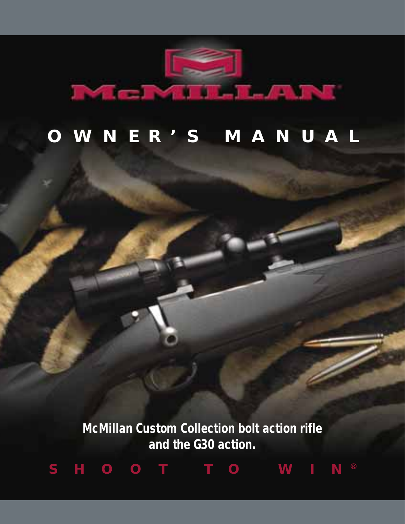

# **OWNER'S MANUAL**

**McMillan Custom Collection bolt action rifle and the G30 action.**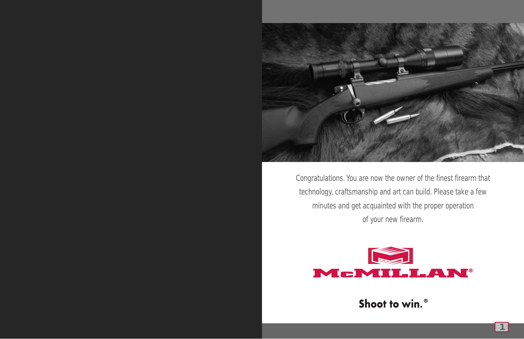

Congratulations. You are now the owner of the finest firearm that technology, craftsmanship and art can build. Please take a few minutes and get acquainted with the proper operation of your new firearm.



Shoot to win.<sup>®</sup>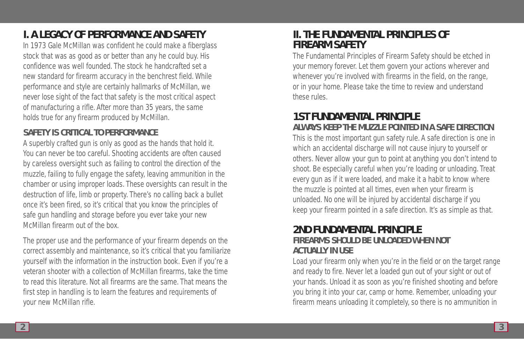# **I. A LEGACY OF PERFORMANCE AND SAFETY**

In 1973 Gale McMillan was confident he could make a fiberglass stock that was as good as or better than any he could buy. His confidence was well founded. The stock he handcrafted set a new standard for firearm accuracy in the benchrest field. While performance and style are certainly hallmarks of McMillan, we never lose sight of the fact that safety is the most critical aspect of manufacturing a rifle. After more than 35 years, the same holds true for any firearm produced by McMillan.

## **SAFETY IS CRITICAL TO PERFORMANCE**

A superbly crafted gun is only as good as the hands that hold it. You can never be too careful. Shooting accidents are often caused by careless oversight such as failing to control the direction of the muzzle, failing to fully engage the safety, leaving ammunition in the chamber or using improper loads. These oversights can result in the destruction of life, limb or property. There's no calling back a bullet once it's been fired, so it's critical that you know the principles of safe gun handling and storage before you ever take your new McMillan firearm out of the box.

The proper use and the performance of your firearm depends on the correct assembly and maintenance, so it's critical that you familiarize yourself with the information in the instruction book. Even if you're a veteran shooter with a collection of McMillan firearms, take the time to read this literature. Not all firearms are the same. That means the first step in handling is to learn the features and requirements of your new McMillan rifle.

## **II. THE FUNDAMENTAL PRINCIPLES OF FIREARM SAFETY**

The Fundamental Principles of Firearm Safety should be etched in your memory forever. Let them govern your actions wherever and whenever you're involved with firearms in the field, on the range, or in your home. Please take the time to review and understand these rules.

## **1ST FUNDAMENTAL PRINCIPLE ALWAYS KEEP THE MUZZLE POINTED IN A SAFE DIRECTION**

This is the most important gun safety rule. A safe direction is one in which an accidental discharge will not cause injury to yourself or others. Never allow your gun to point at anything you don't intend to shoot. Be especially careful when you're loading or unloading. Treat every gun as if it were loaded, and make it a habit to know where the muzzle is pointed at all times, even when your firearm is unloaded. No one will be injured by accidental discharge if you keep your firearm pointed in a safe direction. It's as simple as that.

## **2ND FUNDAMENTAL PRINCIPLE FIREARMS SHOULD BE UNLOADED WHEN NOT ACTUALLY IN USE**

Load your firearm only when you're in the field or on the target range and ready to fire. Never let a loaded gun out of your sight or out of your hands. Unload it as soon as you're finished shooting and before you bring it into your car, camp or home. Remember, unloading your firearm means unloading it completely, so there is no ammunition in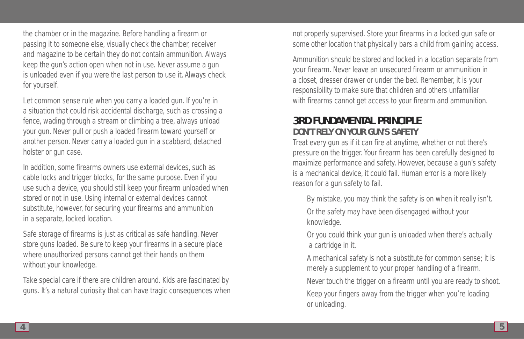the chamber or in the magazine. Before handling a firearm or passing it to someone else, visually check the chamber, receiver and magazine to be certain they do not contain ammunition. Always keep the gun's action open when not in use. Never assume a gun is unloaded even if you were the last person to use it. Always check for yourself.

Let common sense rule when you carry a loaded gun. If you're in a situation that could risk accidental discharge, such as crossing a fence, wading through a stream or climbing a tree, always unload your gun. Never pull or push a loaded firearm toward yourself or another person. Never carry a loaded gun in a scabbard, detached holster or gun case.

In addition, some firearms owners use external devices, such as cable locks and trigger blocks, for the same purpose. Even if you use such a device, you should still keep your firearm unloaded when stored or not in use. Using internal or external devices cannot substitute, however, for securing your firearms and ammunition in a separate, locked location.

Safe storage of firearms is just as critical as safe handling. Never store guns loaded. Be sure to keep your firearms in a secure place where unauthorized persons cannot get their hands on them without your knowledge.

Take special care if there are children around. Kids are fascinated by guns. It's a natural curiosity that can have tragic consequences when not properly supervised. Store your firearms in a locked gun safe or some other location that physically bars a child from gaining access.

Ammunition should be stored and locked in a location separate from your firearm. Never leave an unsecured firearm or ammunition in a closet, dresser drawer or under the bed. Remember, it is your responsibility to make sure that children and others unfamiliar with firearms cannot get access to your firearm and ammunition.

## **3RD FUNDAMENTAL PRINCIPLE DON'T RELY ON YOUR GUN'S SAFETY**

Treat every gun as if it can fire at anytime, whether or not there's pressure on the trigger. Your firearm has been carefully designed to maximize performance and safety. However, because a gun's safety is a mechanical device, it could fail. Human error is a more likely reason for a gun safety to fail.

By mistake, you may think the safety is on when it really isn't. Or the safety may have been disengaged without your knowledge.

Or you could think your gun is unloaded when there's actually a cartridge in it.

A mechanical safety is not a substitute for common sense; it is merely a supplement to your proper handling of a firearm.

Never touch the trigger on a firearm until you are ready to shoot.

Keep your fingers away from the trigger when you're loading or unloading.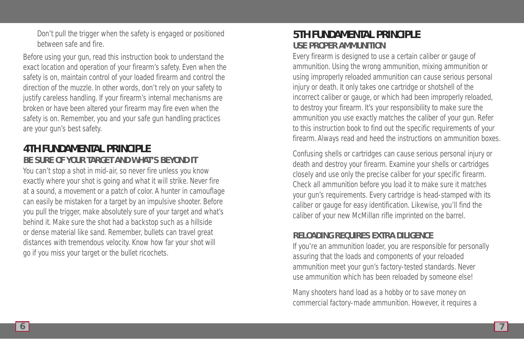Don't pull the trigger when the safety is engaged or positioned between safe and fire.

Before using your gun, read this instruction book to understand the exact location and operation of your firearm's safety. Even when the safety is on, maintain control of your loaded firearm and control the direction of the muzzle. In other words, don't rely on your safety to justify careless handling. If your firearm's internal mechanisms are broken or have been altered your firearm may fire even when the safety is on. Remember, you and your safe gun handling practices are your gun's best safety.

## **4TH FUNDAMENTAL PRINCIPLE BE SURE OF YOUR TARGET AND WHAT'S BEYOND IT**

You can't stop a shot in mid-air, so never fire unless you know exactly where your shot is going and what it will strike. Never fire at a sound, a movement or a patch of color. A hunter in camouflage can easily be mistaken for a target by an impulsive shooter. Before you pull the trigger, make absolutely sure of your target and what's behind it. Make sure the shot had a backstop such as a hillside or dense material like sand. Remember, bullets can travel great distances with tremendous velocity. Know how far your shot will go if you miss your target or the bullet ricochets.

## **5TH FUNDAMENTAL PRINCIPLE USE PROPER AMMUNITION**

Every firearm is designed to use a certain caliber or gauge of ammunition. Using the wrong ammunition, mixing ammunition or using improperly reloaded ammunition can cause serious personal injury or death. It only takes one cartridge or shotshell of the incorrect caliber or gauge, or which had been improperly reloaded, to destroy your firearm. It's your responsibility to make sure the ammunition you use exactly matches the caliber of your gun. Refer to this instruction book to find out the specific requirements of your firearm. Always read and heed the instructions on ammunition boxes.

Confusing shells or cartridges can cause serious personal injury or death and destroy your firearm. Examine your shells or cartridges closely and use only the precise caliber for your specific firearm. Check all ammunition before you load it to make sure it matches your gun's requirements. Every cartridge is head-stamped with its caliber or gauge for easy identification. Likewise, you'll find the caliber of your new McMillan rifle imprinted on the barrel.

### **RELOADING REQUIRES EXTRA DILIGENCE**

If you're an ammunition loader, you are responsible for personally assuring that the loads and components of your reloaded ammunition meet your gun's factory-tested standards. Never use ammunition which has been reloaded by someone else!

Many shooters hand load as a hobby or to save money on commercial factory-made ammunition. However, it requires a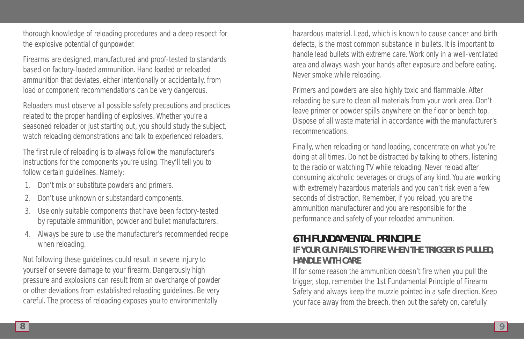thorough knowledge of reloading procedures and a deep respect for the explosive potential of gunpowder.

Firearms are designed, manufactured and proof-tested to standards based on factory-loaded ammunition. Hand loaded or reloaded ammunition that deviates, either intentionally or accidentally, from load or component recommendations can be very dangerous.

Reloaders must observe all possible safety precautions and practices related to the proper handling of explosives. Whether you're a seasoned reloader or just starting out, you should study the subject, watch reloading demonstrations and talk to experienced reloaders.

The first rule of reloading is to always follow the manufacturer's instructions for the components you're using. They'll tell you to follow certain guidelines. Namely:

- 1. Don't mix or substitute powders and primers.
- 2. Don't use unknown or substandard components.
- 3. Use only suitable components that have been factory-tested by reputable ammunition, powder and bullet manufacturers.
- 4. Always be sure to use the manufacturer's recommended recipe when reloading.

Not following these guidelines could result in severe injury to yourself or severe damage to your firearm. Dangerously high pressure and explosions can result from an overcharge of powder or other deviations from established reloading guidelines. Be very careful. The process of reloading exposes you to environmentally

hazardous material. Lead, which is known to cause cancer and birth defects, is the most common substance in bullets. It is important to handle lead bullets with extreme care. Work only in a well-ventilated area and always wash your hands after exposure and before eating. Never smoke while reloading.

Primers and powders are also highly toxic and flammable. After reloading be sure to clean all materials from your work area. Don't leave primer or powder spills anywhere on the floor or bench top. Dispose of all waste material in accordance with the manufacturer's recommendations.

Finally, when reloading or hand loading, concentrate on what you're doing at all times. Do not be distracted by talking to others, listening to the radio or watching TV while reloading. Never reload after consuming alcoholic beverages or drugs of any kind. You are working with extremely hazardous materials and you can't risk even a few seconds of distraction. Remember, if you reload, you are the ammunition manufacturer and you are responsible for the performance and safety of your reloaded ammunition.

## **6TH FUNDAMENTAL PRINCIPLE IF YOUR GUN FAILS TO FIRE WHEN THE TRIGGER IS PULLED, HANDLE WITH CARE**

If for some reason the ammunition doesn't fire when you pull the trigger, stop, remember the 1st Fundamental Principle of Firearm Safety and always keep the muzzle pointed in a safe direction. Keep your face away from the breech, then put the safety on, carefully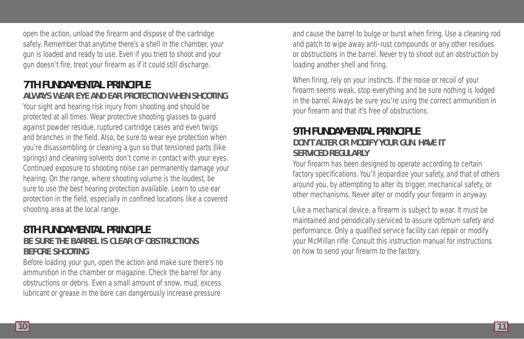open the action, unload the firearm and dispose of the cartridge safely. Remember that anytime there's a shell in the chamber, your gun is loaded and ready to use. Even if you tried to shoot and your gun doesn't fire, treat your firearm as if it could still discharge.

## **7TH FUNDAMENTAL PRINCIPLE ALWAYS WEAR EYE AND EAR PROTECTION WHEN SHOOTING**

Your sight and hearing risk injury from shooting and should be protected at all times. Wear protective shooting glasses to guard against powder residue, ruptured cartridge cases and even twigs and branches in the field. Also, be sure to wear eye protection when you're disassembling or cleaning a gun so that tensioned parts (like springs) and cleaning solvents don't come in contact with your eyes. Continued exposure to shooting noise can permanently damage your hearing. On the range, where shooting volume is the loudest, be sure to use the best hearing protection available. Learn to use ear protection in the field, especially in confined locations like a covered shooting area at the local range.

## **8TH FUNDAMENTAL PRINCIPLE BE SURE THE BARREL IS CLEAR OF OBSTRUCTIONS BEFORE SHOOTING**

Before loading your gun, open the action and make sure there's no ammunition in the chamber or magazine. Check the barrel for any obstructions or debris. Even a small amount of snow, mud, excess lubricant or grease in the bore can dangerously increase pressure

and cause the barrel to bulge or burst when firing. Use a cleaning rod and patch to wipe away anti-rust compounds or any other residues or obstructions in the barrel. Never try to shoot out an obstruction by loading another shell and firing.

When firing, rely on your instincts. If the noise or recoil of your firearm seems weak, stop everything and be sure nothing is lodged in the barrel. Always be sure you're using the correct ammunition in your firearm and that it's free of obstructions.

## **9TH FUNDAMENTAL PRINCIPLE DON'T ALTER OR MODIFY YOUR GUN. HAVE IT SERVICED REGULARLY**

Your firearm has been designed to operate according to certain factory specifications. You'll jeopardize your safety, and that of others around you, by attempting to alter its trigger, mechanical safety, or other mechanisms. Never alter or modify your firearm in anyway.

Like a mechanical device, a firearm is subject to wear. It must be maintained and periodically serviced to assure optimum safety and performance. Only a qualified service facility can repair or modify your McMillan rifle. Consult this instruction manual for instructions on how to send your firearm to the factory.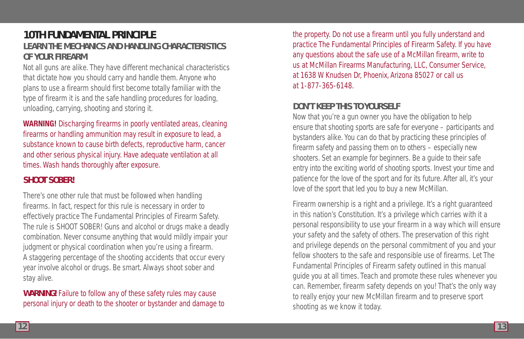## **10TH FUNDAMENTAL PRINCIPLE LEARN THE MECHANICS AND HANDLING CHARACTERISTICS OF YOUR FIREARM**

Not all guns are alike. They have different mechanical characteristics that dictate how you should carry and handle them. Anyone who plans to use a firearm should first become totally familiar with the type of firearm it is and the safe handling procedures for loading, unloading, carrying, shooting and storing it.

**WARNING!** Discharging firearms in poorly ventilated areas, cleaning firearms or handling ammunition may result in exposure to lead, a substance known to cause birth defects, reproductive harm, cancer and other serious physical injury. Have adequate ventilation at all times. Wash hands thoroughly after exposure.

### **SHOOT SOBER!**

There's one other rule that must be followed when handling firearms. In fact, respect for this rule is necessary in order to effectively practice The Fundamental Principles of Firearm Safety. The rule is SHOOT SOBER! Guns and alcohol or drugs make a deadly combination. Never consume anything that would mildly impair your judgment or physical coordination when you're using a firearm. A staggering percentage of the shooting accidents that occur every year involve alcohol or drugs. Be smart. Always shoot sober and stay alive.

**WARNING!** Failure to follow any of these safety rules may cause personal injury or death to the shooter or bystander and damage to the property. Do not use a firearm until you fully understand and practice The Fundamental Principles of Firearm Safety. If you have any questions about the safe use of a McMillan firearm, write to us at McMillan Firearms Manufacturing, LLC, Consumer Service, at 1638 W Knudsen Dr, Phoenix, Arizona 85027 or call us at 1-877-365-6148.

### **DON'T KEEP THIS TO YOURSELF**

Now that you're a gun owner you have the obligation to help ensure that shooting sports are safe for everyone – participants and bystanders alike. You can do that by practicing these principles of firearm safety and passing them on to others – especially new shooters. Set an example for beginners. Be a guide to their safe entry into the exciting world of shooting sports. Invest your time and patience for the love of the sport and for its future. After all, it's your love of the sport that led you to buy a new McMillan.

Firearm ownership is a right and a privilege. It's a right guaranteed in this nation's Constitution. It's a privilege which carries with it a personal responsibility to use your firearm in a way which will ensure your safety and the safety of others. The preservation of this right and privilege depends on the personal commitment of you and your fellow shooters to the safe and responsible use of firearms. Let The Fundamental Principles of Firearm safety outlined in this manual guide you at all times. Teach and promote these rules whenever you can. Remember, firearm safety depends on you! That's the only way to really enjoy your new McMillan firearm and to preserve sport shooting as we know it today.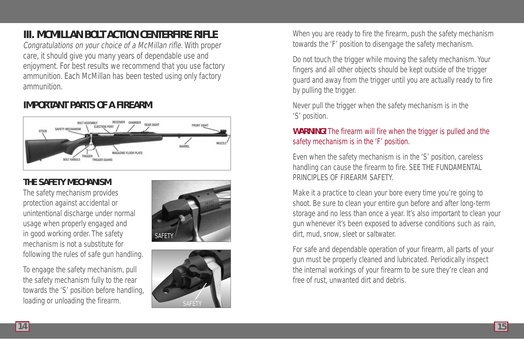# **III. MCMILLAN BOLT ACTION CENTERFIRE RIFLE**

Congratulations on your choice of a McMillan rifle. With proper care, it should give you many years of dependable use and enjoyment. For best results we recommend that you use factory ammunition. Each McMillan has been tested using only factory ammunition.

## **IMPORTANT PARTS OF A FIREARM**



## **THE SAFETY MECHANISM**

The safety mechanism provides protection against accidental or unintentional discharge under normal usage when properly engaged and in good working order. The safety mechanism is not a substitute for following the rules of safe gun handling.

To engage the safety mechanism, pull the safety mechanism fully to the rear towards the 'S' position before handling, loading or unloading the firearm.





When you are ready to fire the firearm, push the safety mechanism towards the 'F' position to disengage the safety mechanism.

Do not touch the trigger while moving the safety mechanism. Your fingers and all other objects should be kept outside of the trigger guard and away from the trigger until you are actually ready to fire by pulling the trigger.

Never pull the trigger when the safety mechanism is in the 'S' position.

### **WARNING!** The firearm will fire when the trigger is pulled and the safety mechanism is in the 'F' position.

Even when the safety mechanism is in the 'S' position, careless handling can cause the firearm to fire. SEE THE FUNDAMENTAL PRINCIPLES OF FIREARM SAFETY.

Make it a practice to clean your bore every time you're going to shoot. Be sure to clean your entire gun before and after long-term storage and no less than once a year. It's also important to clean your gun whenever it's been exposed to adverse conditions such as rain, dirt, mud, snow, sleet or saltwater.

For safe and dependable operation of your firearm, all parts of your gun must be properly cleaned and lubricated. Periodically inspect the internal workings of your firearm to be sure they're clean and free of rust, unwanted dirt and debris.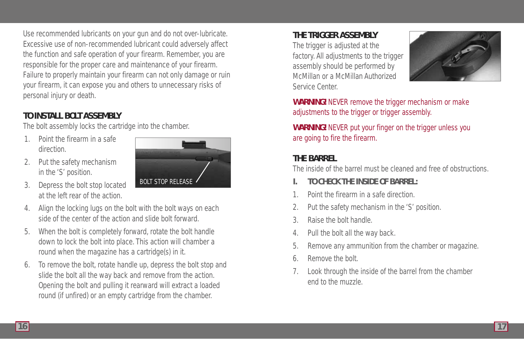Use recommended lubricants on your gun and do not over-lubricate. Excessive use of non-recommended lubricant could adversely affect the function and safe operation of your firearm. Remember, you are responsible for the proper care and maintenance of your firearm. Failure to properly maintain your firearm can not only damage or ruin your firearm, it can expose you and others to unnecessary risks of personal injury or death.

## **TO INSTALL BOLT ASSEMBLY**

The bolt assembly locks the cartridge into the chamber.

- Point the firearm in a safe. direction.
- 2. Put the safety mechanism in the 'S' position.



- 3. Depress the bolt stop located at the left rear of the action.
- 4. Align the locking lugs on the bolt with the bolt ways on each side of the center of the action and slide bolt forward.
- 5. When the bolt is completely forward, rotate the bolt handle down to lock the bolt into place. This action will chamber a round when the magazine has a cartridge(s) in it.
- 6. To remove the bolt, rotate handle up, depress the bolt stop and slide the bolt all the way back and remove from the action. Opening the bolt and pulling it rearward will extract a loaded round (if unfired) or an empty cartridge from the chamber.

## **THE TRIGGER ASSEMBLY**

The trigger is adjusted at the factory. All adjustments to the trigger assembly should be performed by McMillan or a McMillan Authorized Service Center.



**WARNING!** NEVER remove the trigger mechanism or make adjustments to the trigger or trigger assembly.

**WARNING!** NEVER put your finger on the trigger unless you are going to fire the firearm.

## **THE BARREL**

The inside of the barrel must be cleaned and free of obstructions.

- **I. TO CHECK THE INSIDE OF BARREL:**
- 1. Point the firearm in a safe direction.
- 2. Put the safety mechanism in the 'S' position.
- 3. Raise the bolt handle.
- 4. Pull the bolt all the way back.
- 5. Remove any ammunition from the chamber or magazine.
- 6. Remove the bolt.
- 7. Look through the inside of the barrel from the chamber end to the muzzle.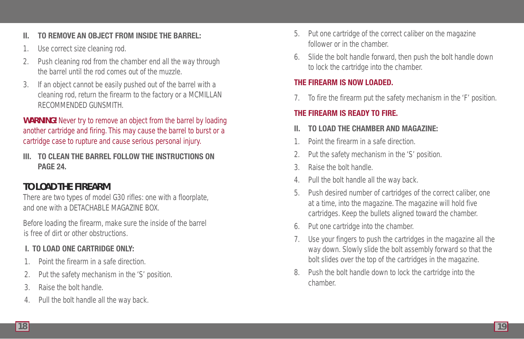### **II. TO REMOVE AN OBJECT FROM INSIDE THE BARREL:**

- 1. Use correct size cleaning rod.
- 2. Push cleaning rod from the chamber end all the way through the barrel until the rod comes out of the muzzle.
- 3. If an object cannot be easily pushed out of the barrel with a cleaning rod, return the firearm to the factory or a MCMILLAN RECOMMENDED GUNSMITH.

**WARNING!** Never try to remove an object from the barrel by loading another cartridge and firing. This may cause the barrel to burst or a cartridge case to rupture and cause serious personal injury.

**III. TO CLEAN THE BARREL FOLLOW THE INSTRUCTIONS ON PAGE 24.** 

## **TO LOAD THE FIREARM**

There are two types of model G30 rifles: one with a floorplate, and one with a DETACHABLE MAGAZINE BOX.

Before loading the firearm, make sure the inside of the barrel is free of dirt or other obstructions.

## **I. TO LOAD ONE CARTRIDGE ONLY:**

- 1. Point the firearm in a safe direction.
- 2. Put the safety mechanism in the 'S' position.
- 3. Raise the bolt handle.
- 4. Pull the bolt handle all the way back.
- 5. Put one cartridge of the correct caliber on the magazine follower or in the chamber.
- 6. Slide the bolt handle forward, then push the bolt handle down to lock the cartridge into the chamber.

### **THE FIREARM IS NOW LOADED.**

7. To fire the firearm put the safety mechanism in the 'F' position.

### **THE FIREARM IS READY TO FIRE.**

### **II. TO LOAD THE CHAMBER AND MAGAZINE:**

- 1. Point the firearm in a safe direction.
- 2. Put the safety mechanism in the 'S' position.
- 3. Raise the bolt handle.
- 4. Pull the bolt handle all the way back.
- 5. Push desired number of cartridges of the correct caliber, one at a time, into the magazine. The magazine will hold five cartridges. Keep the bullets aligned toward the chamber.
- 6. Put one cartridge into the chamber.
- 7. Use your fingers to push the cartridges in the magazine all the way down. Slowly slide the bolt assembly forward so that the bolt slides over the top of the cartridges in the magazine.
- 8. Push the bolt handle down to lock the cartridge into the chamber.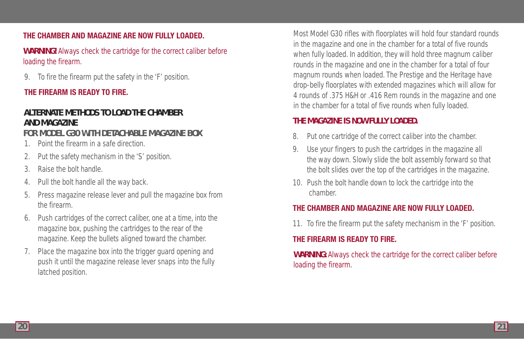#### **THE CHAMBER AND MAGAZINE ARE NOW FULLY LOADED.**

**WARNING!** Always check the cartridge for the correct caliber before loading the firearm.

9. To fire the firearm put the safety in the 'F' position.

#### **THE FIREARM IS READY TO FIRE.**

## **ALTERNATE METHODS TO LOAD THE CHAMBER AND MAGAZINE**

### **FOR MODEL G30 WITH DETACHABLE MAGAZINE BOX**

- 1. Point the firearm in a safe direction.
- 2. Put the safety mechanism in the 'S' position.
- 3. Raise the bolt handle.
- 4. Pull the bolt handle all the way back.
- 5. Press magazine release lever and pull the magazine box from the firearm.
- 6. Push cartridges of the correct caliber, one at a time, into the magazine box, pushing the cartridges to the rear of the magazine. Keep the bullets aligned toward the chamber.
- 7. Place the magazine box into the trigger guard opening and push it until the magazine release lever snaps into the fully latched position.

Most Model G30 rifles with floorplates will hold four standard rounds in the magazine and one in the chamber for a total of five rounds when fully loaded. In addition, they will hold three magnum caliber rounds in the magazine and one in the chamber for a total of four magnum rounds when loaded. The Prestige and the Heritage have drop-belly floorplates with extended magazines which will allow for 4 rounds of .375 H&H or .416 Rem rounds in the magazine and one in the chamber for a total of five rounds when fully loaded.

#### **THE MAGAZINE IS NOW FULLY LOADED.**

- 8. Put one cartridge of the correct caliber into the chamber.
- 9. Use your fingers to push the cartridges in the magazine all the way down. Slowly slide the bolt assembly forward so that the bolt slides over the top of the cartridges in the magazine.
- 10. Push the bolt handle down to lock the cartridge into the chamber.

### **THE CHAMBER AND MAGAZINE ARE NOW FULLY LOADED.**

11. To fire the firearm put the safety mechanism in the 'F' position.

### **THE FIREARM IS READY TO FIRE.**

**WARNING:** Always check the cartridge for the correct caliber before loading the firearm.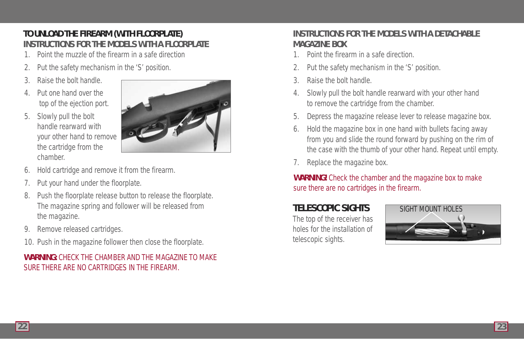## **TO UNLOAD THE FIREARM (WITH FLOORPLATE) INSTRUCTIONS FOR THE MODELS WITH A FLOORPLATE**

- 1. Point the muzzle of the firearm in a safe direction
- Put the safety mechanism in the 'S' position.
- 3. Raise the bolt handle.
- 4. Put one hand over the top of the ejection port.
- 5. Slowly pull the bolt handle rearward with your other hand to remove the cartridge from the chamber.



- 6. Hold cartridge and remove it from the firearm.
- Put your hand under the floorplate.
- 8. Push the floorplate release button to release the floorplate. The magazine spring and follower will be released from the magazine.
- 9. Remove released cartridges.
- 10. Push in the magazine follower then close the floorplate.

## **WARNING:** CHECK THE CHAMBER AND THE MAGAZINE TO MAKE SURE THERE ARE NO CARTRIDGES IN THE FIREARM.

## **INSTRUCTIONS FOR THE MODELS WITH A DETACHABLE MAGAZINE BOX**

- 1. Point the firearm in a safe direction.
- Put the safety mechanism in the 'S' position.
- 3. Raise the bolt handle.
- 4. Slowly pull the bolt handle rearward with your other hand to remove the cartridge from the chamber.
- 5. Depress the magazine release lever to release magazine box.
- 6. Hold the magazine box in one hand with bullets facing away from you and slide the round forward by pushing on the rim of the case with the thumb of your other hand. Repeat until empty.
- 7. Replace the magazine box.

## **WARNING!** Check the chamber and the magazine box to make sure there are no cartridges in the firearm.

## **TELESCOPIC SIGHTS**

The top of the receiver has holes for the installation of telescopic sights.

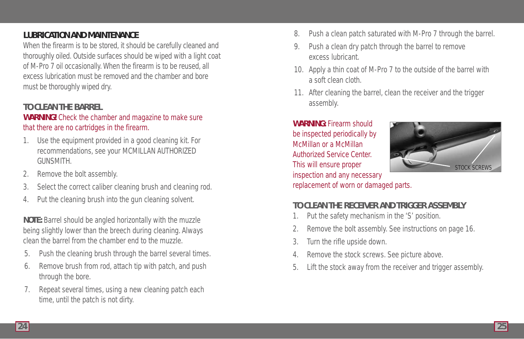### **LUBRICATION AND MAINTENANCE**

When the firearm is to be stored, it should be carefully cleaned and thoroughly oiled. Outside surfaces should be wiped with a light coat of M-Pro 7 oil occasionally. When the firearm is to be reused, all excess lubrication must be removed and the chamber and bore must be thoroughly wiped dry.

### **TO CLEAN THE BARREL**

#### **WARNING!** Check the chamber and magazine to make sure that there are no cartridges in the firearm.

- 1. Use the equipment provided in a good cleaning kit. For recommendations, see your MCMILLAN AUTHORIZED **GUNSMITH**
- 2. Remove the bolt assembly.
- 3. Select the correct caliber cleaning brush and cleaning rod.
- 4. Put the cleaning brush into the gun cleaning solvent.

**NOTE:** Barrel should be angled horizontally with the muzzle being slightly lower than the breech during cleaning. Always clean the barrel from the chamber end to the muzzle.

- 5. Push the cleaning brush through the barrel several times.
- 6. Remove brush from rod, attach tip with patch, and push through the bore.
- 7. Repeat several times, using a new cleaning patch each time, until the patch is not dirty.
- 8. Push a clean patch saturated with M-Pro 7 through the barrel.
- 9. Push a clean dry patch through the barrel to remove excess lubricant.
- 10. Apply a thin coat of M-Pro 7 to the outside of the barrel with a soft clean cloth.
- 11. After cleaning the barrel, clean the receiver and the trigger assembly.

**WARNING:** Firearm should be inspected periodically by McMillan or a McMillan Authorized Service Center. This will ensure proper inspection and any necessary replacement of worn or damaged parts.



### **TO CLEAN THE RECEIVER AND TRIGGER ASSEMBLY**

- 1. Put the safety mechanism in the 'S' position.
- 2. Remove the bolt assembly. See instructions on page 16.
- 3. Turn the rifle upside down.
- 4. Remove the stock screws. See picture above.
- 5. Lift the stock away from the receiver and trigger assembly.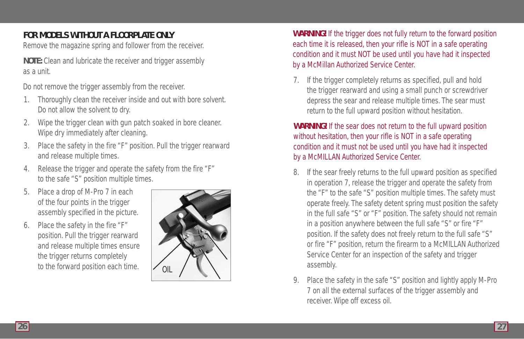## **FOR MODELS WITHOUT A FLOORPLATE ONLY**

Remove the magazine spring and follower from the receiver.

**NOTE:** Clean and lubricate the receiver and trigger assembly as a unit.

Do not remove the trigger assembly from the receiver.

- 1. Thoroughly clean the receiver inside and out with bore solvent. Do not allow the solvent to dry.
- 2. Wipe the trigger clean with gun patch soaked in bore cleaner. Wipe dry immediately after cleaning.
- 3. Place the safety in the fire "F" position. Pull the trigger rearward and release multiple times.
- 4. Release the trigger and operate the safety from the fire "F" to the safe "S" position multiple times.
- Place a drop of M-Pro 7 in each of the four points in the trigger assembly specified in the picture.
- 6. Place the safety in the fire "F" position. Pull the trigger rearward and release multiple times ensure the trigger returns completely to the forward position each time.



**WARNING!** If the trigger does not fully return to the forward position each time it is released, then your rifle is NOT in a safe operating condition and it must NOT be used until you have had it inspected by a McMillan Authorized Service Center.

7. If the trigger completely returns as specified, pull and hold the trigger rearward and using a small punch or screwdriver depress the sear and release multiple times. The sear must return to the full upward position without hesitation.

### **WARNING!** If the sear does not return to the full upward position without hesitation, then your rifle is NOT in a safe operating condition and it must not be used until you have had it inspected by a McMILLAN Authorized Service Center.

- 8. If the sear freely returns to the full upward position as specified in operation 7, release the trigger and operate the safety from the "F" to the safe "S" position multiple times. The safety must operate freely. The safety detent spring must position the safety in the full safe "S" or "F" position. The safety should not remain in a position anywhere between the full safe "S" or fire "F" position. If the safety does not freely return to the full safe "S" or fire "F" position, return the firearm to a McMILLAN Authorized Service Center for an inspection of the safety and trigger assembly.
- 9. Place the safety in the safe "S" position and lightly apply M-Pro 7 on all the external surfaces of the trigger assembly and receiver. Wipe off excess oil.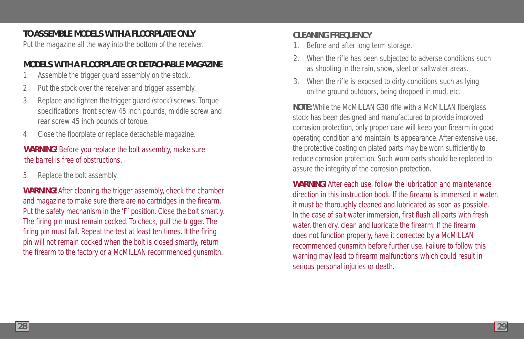### **TO ASSEMBLE MODELS WITH A FLOORPLATE ONLY**

Put the magazine all the way into the bottom of the receiver.

### **MODELS WITH A FLOORPLATE OR DETACHABLE MAGAZINE**

- 1. Assemble the trigger guard assembly on the stock.
- 2. Put the stock over the receiver and trigger assembly.
- 3. Replace and tighten the trigger guard (stock) screws. Torque specifications: front screw 45 inch pounds, middle screw and rear screw 45 inch pounds of torque.
- 4. Close the floorplate or replace detachable magazine.

### **WARNING!** Before you replace the bolt assembly, make sure the barrel is free of obstructions.

5. Replace the bolt assembly.

**WARNING!** After cleaning the trigger assembly, check the chamber and magazine to make sure there are no cartridges in the firearm. Put the safety mechanism in the 'F' position. Close the bolt smartly. The firing pin must remain cocked. To check, pull the trigger. The firing pin must fall. Repeat the test at least ten times. It the firing pin will not remain cocked when the bolt is closed smartly, return the firearm to the factory or a McMILLAN recommended gunsmith.

### **CLEANING FREQUENCY**

- 1. Before and after long term storage.
- 2. When the rifle has been subjected to adverse conditions such as shooting in the rain, snow, sleet or saltwater areas.
- 3. When the rifle is exposed to dirty conditions such as lying on the ground outdoors, being dropped in mud, etc.

**NOTE:** While the McMILLAN G30 rifle with a McMILLAN fiberglass stock has been designed and manufactured to provide improved corrosion protection, only proper care will keep your firearm in good operating condition and maintain its appearance. After extensive use, the protective coating on plated parts may be worn sufficiently to reduce corrosion protection. Such worn parts should be replaced to assure the integrity of the corrosion protection.

**WARNING!** After each use, follow the lubrication and maintenance direction in this instruction book. If the firearm is immersed in water, it must be thoroughly cleaned and lubricated as soon as possible. In the case of salt water immersion, first flush all parts with fresh water, then dry, clean and lubricate the firearm. If the firearm does not function properly, have it corrected by a McMILLAN recommended gunsmith before further use. Failure to follow this warning may lead to firearm malfunctions which could result in serious personal injuries or death.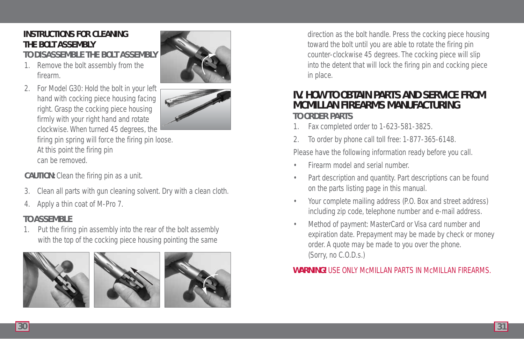## **INSTRUCTIONS FOR CLEANING THE BOLT ASSEMBLY**

**TO DISASSEMBLE THE BOLT ASSEMBLY**

1. Remove the bolt assembly from the firearm.



firing pin spring will force the firing pin loose. At this point the firing pin can be removed.

**CAUTION:** Clean the firing pin as a unit.

- 3. Clean all parts with gun cleaning solvent. Dry with a clean cloth.
- 4. Apply a thin coat of M-Pro 7.

## **TO ASSEMBLE**

1. Put the firing pin assembly into the rear of the bolt assembly with the top of the cocking piece housing pointing the same





direction as the bolt handle. Press the cocking piece housing toward the bolt until you are able to rotate the firing pin counter-clockwise 45 degrees. The cocking piece will slip into the detent that will lock the firing pin and cocking piece in place.

## **IV. HOW TO OBTAIN PARTS AND SERVICE FROM MCMILLAN FIREARMS MANUFACTURING TO ORDER PARTS**

- 1. Fax completed order to 1-623-581-3825.
- 2. To order by phone call toll free: 1-877-365-6148.

Please have the following information ready before you call.

- Firearm model and serial number.
- Part description and quantity. Part descriptions can be found on the parts listing page in this manual.
- Your complete mailing address (P.O. Box and street address) including zip code, telephone number and e-mail address.
- Method of payment: MasterCard or Visa card number and expiration date. Prepayment may be made by check or money order. A quote may be made to you over the phone. (Sorry, no C.O.D.s.)

### **WARNING!** USE ONLY McMILLAN PARTS IN McMILLAN FIREARMS.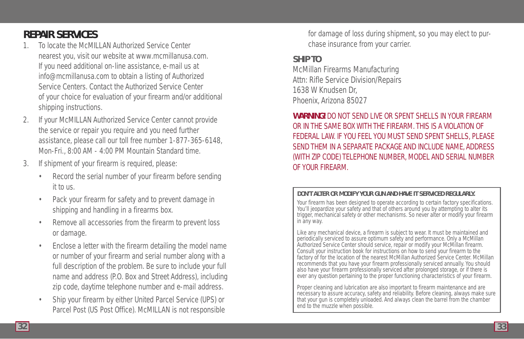## **REPAIR SERVICES**

- 1. To locate the McMILLAN Authorized Service Center nearest you, visit our website at www.mcmillanusa.com. If you need additional on-line assistance, e-mail us at info@mcmillanusa.com to obtain a listing of Authorized Service Centers. Contact the Authorized Service Center of your choice for evaluation of your firearm and/or additional shipping instructions.
- 2. If your McMILLAN Authorized Service Center cannot provide the service or repair you require and you need further assistance, please call our toll free number 1-877-365-6148, Mon-Fri., 8:00 AM - 4:00 PM Mountain Standard time.
- 3. If shipment of your firearm is required, please:
	- Record the serial number of your firearm before sending it to us.
	- Pack your firearm for safety and to prevent damage in shipping and handling in a firearms box.
	- Remove all accessories from the firearm to prevent loss or damage.
	- Enclose a letter with the firearm detailing the model name or number of your firearm and serial number along with a full description of the problem. Be sure to include your full name and address (P.O. Box and Street Address), including zip code, daytime telephone number and e-mail address.
	- Ship your firearm by either United Parcel Service (UPS) or Parcel Post (US Post Office). McMILLAN is not responsible

for damage of loss during shipment, so you may elect to purchase insurance from your carrier.

### **SHIP TO**

McMillan Firearms Manufacturing Attn: Rifle Service Division/Repairs 1638 W Knudsen Dr, Phoenix, Arizona 85027

### **WARNING!** DO NOT SEND LIVE OR SPENT SHELLS IN YOUR FIREARM OR IN THE SAME BOX WITH THE FIREARM. THIS IS A VIOLATION OF FEDERAL LAW. IF YOU FEEL YOU MUST SEND SPENT SHELLS, PLEASE SEND THEM IN A SEPARATE PACKAGE AND INCLUDE NAME, ADDRESS (WITH ZIP CODE) TELEPHONE NUMBER, MODEL AND SERIAL NUMBER OF YOUR FIREARM.

#### **DON'T ALTER OR MODIFY YOUR GUN AND HAVE IT SERVICED REGULARLY.**

Your firearm has been designed to operate according to certain factory specifications. You'll jeopardize your safety and that of others around you by attempting to alter its trigger, mechanical safety or other mechanisms. So never alter or modify your firearm in any way.

Like any mechanical device, a firearm is subject to wear. It must be maintained and periodically serviced to assure optimum safety and performance. Only a McMillan Authorized Service Center should service, repair or modify your McMillan firearm. Consult your instruction book for instructions on how to send your firearm to the factory of for the location of the nearest McMillan Authorized Service Center. McMillan recommends that you have your firearm professionally serviced annually. You should also have your firearm professionally serviced after prolonged storage, or if there is ever any question pertaining to the proper functioning characteristics of your firearm.

Proper cleaning and lubrication are also important to firearm maintenance and are necessary to assure accuracy, safety and reliability. Before cleaning, always make sure that your gun is completely unloaded. And always clean the barrel from the chamber end to the muzzle when possible.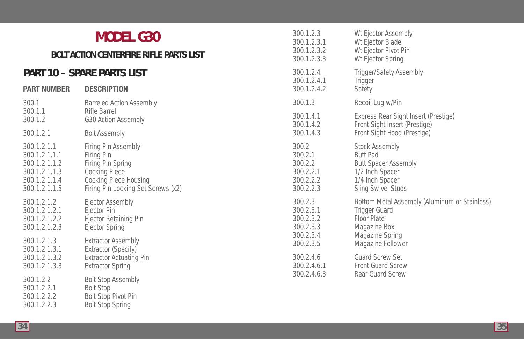| <b>MODEL G30</b><br><b>BOLT ACTION CENTERFIRE RIFLE PARTS LIST</b><br><b>PART 10 - SPARE PARTS LIST</b><br><b>DESCRIPTION</b><br><b>PART NUMBER</b> |                                                                                                                                                                                            | 300.1.2.3<br>300.1.2.3.1<br>300.1.2.3.2<br>300.1.2.3.3 |
|-----------------------------------------------------------------------------------------------------------------------------------------------------|--------------------------------------------------------------------------------------------------------------------------------------------------------------------------------------------|--------------------------------------------------------|
|                                                                                                                                                     |                                                                                                                                                                                            | 300.1.2.4<br>300.1.2.4.1<br>300.1.2.4.2                |
| 300.1                                                                                                                                               | <b>Barreled Action Assembly</b>                                                                                                                                                            | 300.1.3                                                |
| 300.1.1                                                                                                                                             | Rifle Barrel                                                                                                                                                                               | 300.1.4.1                                              |
| 300.1.2                                                                                                                                             | G30 Action Assembly                                                                                                                                                                        | 300.1.4.2                                              |
| 300.1.2.1                                                                                                                                           | <b>Bolt Assembly</b>                                                                                                                                                                       | 300.1.4.3                                              |
| 300.1.2.1.1                                                                                                                                         | Firing Pin Assembly                                                                                                                                                                        | 300.2                                                  |
| 300.1.2.1.1.1                                                                                                                                       | Firing Pin                                                                                                                                                                                 | 300.2.1                                                |
| 300.1.2.1.1.2                                                                                                                                       | Firing Pin Spring                                                                                                                                                                          | 300.2.2                                                |
| 300.1.2.1.1.3                                                                                                                                       | <b>Cocking Piece</b>                                                                                                                                                                       | 300.2.2.1                                              |
| 300.1.2.1.1.4                                                                                                                                       | Cocking Piece Housing                                                                                                                                                                      | 300.2.2.2                                              |
| 300.1.2.1.1.5                                                                                                                                       | Firing Pin Locking Set Screws (x2)                                                                                                                                                         | 300.2.2.3                                              |
| 300.1.2.1.2                                                                                                                                         | Ejector Assembly                                                                                                                                                                           | 300.2.3                                                |
| 300.1.2.1.2.1                                                                                                                                       | Ejector Pin                                                                                                                                                                                | 300.2.3.1                                              |
| 300.1.2.1.2.2                                                                                                                                       | Ejector Retaining Pin                                                                                                                                                                      | 300.2.3.2                                              |
| 300.1.2.1.2.3                                                                                                                                       | <b>Ejector Spring</b>                                                                                                                                                                      | 300.2.3.3                                              |
| 300.1.2.1.3                                                                                                                                         | <b>Extractor Assembly</b>                                                                                                                                                                  | 300.2.3.4                                              |
| 300.1.2.1.3.1<br>300.1.2.1.3.2<br>300.1.2.1.3.3<br>300.1.2.2<br>300.1.2.2.1<br>300.1.2.2.2<br>300.1.2.2.3                                           | Extractor (Specify)<br><b>Extractor Actuating Pin</b><br><b>Extractor Spring</b><br><b>Bolt Stop Assembly</b><br><b>Bolt Stop</b><br><b>Bolt Stop Pivot Pin</b><br><b>Bolt Stop Spring</b> | 300.2.3.5<br>300.2.4.6<br>300.2.4.6.1<br>300.2.4.6.3   |

Wt Ejector Assembly Wt Ejector Blade Wt Ejector Pivot Pin Wt Ejector Spring Trigger/Safety Assembly

**Trigger** Safety

Recoil Lug w/Pin

Stock Assembly Butt Pad

**Trigger Guard** Floor Plate Magazine Box Magazine Spring Magazine Follower Guard Screw Set Front Guard Screw Rear Guard Screw

Butt Spacer Assembly 1/2 Inch Spacer 1/4 Inch Spacer Sling Swivel Studs

Express Rear Sight Insert (Prestige) Front Sight Insert (Prestige) Front Sight Hood (Prestige)

Bottom Metal Assembly (Aluminum or Stainless)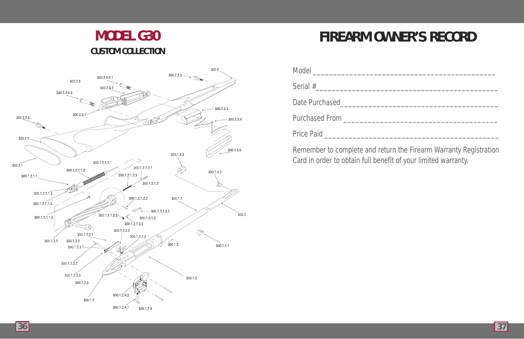# **MODEL G30 CUSTOM COLLECTION**



# **FIREARM OWNER'S RECORD**

| Date Purchased<br><u>Lateral and Contract and Contract and Contract and Contract and Contract and Contract and Contract and Contract and Contract and Contract and Contract and Contract and Contract and Contract and Contract an</u> |
|----------------------------------------------------------------------------------------------------------------------------------------------------------------------------------------------------------------------------------------|
|                                                                                                                                                                                                                                        |
| Price Paid <b>Price Price Price Price Price Price Price Price Price Price Price Price Price Price Price Price Pri</b>                                                                                                                  |

Remember to complete and return the Firearm Warranty Registration Card in order to obtain full benefit of your limited warranty.